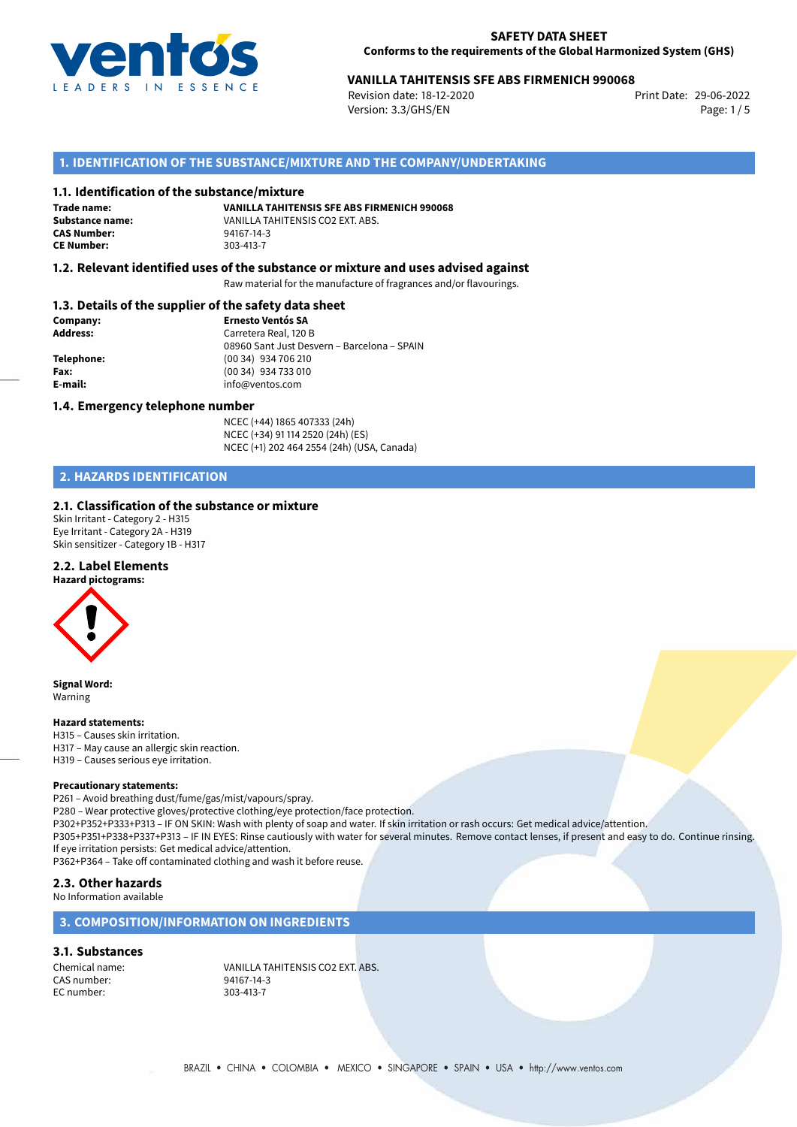

## 29-06-2022 **VANILLA TAHITENSIS SFE ABS FIRMENICH 990068**

Revision date: 18-12-2020 Version: 3.3/GHS/EN Page: 1/5

## **1. IDENTIFICATION OF THE SUBSTANCE/MIXTURE AND THE COMPANY/UNDERTAKING**

### **1.1. Identification of the substance/mixture**

**Trade name: CAS Number:** 94167-14-3<br> **CE Number:** 303-413-7 **CE Number:** 303-413-7

**VANILLA TAHITENSIS SFE ABS FIRMENICH 990068 Substance name:** VANILLA TAHITENSIS CO2 EXT. ABS.<br> **CAS Number:** 94167-14-3

## **1.2. Relevant identified uses of the substance or mixture and uses advised against**

Raw material for the manufacture of fragrances and/or flavourings.

## **1.3. Details of the supplier of the safety data sheet**

| Company:        | <b>Ernesto Ventós SA</b>                    |
|-----------------|---------------------------------------------|
| <b>Address:</b> | Carretera Real, 120 B                       |
|                 | 08960 Sant Just Desvern - Barcelona - SPAIN |
| Telephone:      | (00 34) 934 706 210                         |
| Fax:            | (00 34) 934 733 010                         |
| E-mail:         | info@ventos.com                             |
|                 |                                             |

### **1.4. Emergency telephone number**

NCEC (+44) 1865 407333 (24h) NCEC (+34) 91 114 2520 (24h) (ES) NCEC (+1) 202 464 2554 (24h) (USA, Canada)

## **2. HAZARDS IDENTIFICATION**

### **2.1. Classification of the substance or mixture**

Skin Irritant - Category 2 - H315 Eye Irritant - Category 2A - H319 Skin sensitizer - Category 1B - H317

## **2.2. Label Elements**

**Hazard pictograms:**

**Signal Word:** Warning

#### **Hazard statements:**

H315 – Causes skin irritation. H317 – May cause an allergic skin reaction. H319 – Causes serious eye irritation.

#### **Precautionary statements:**

P261 – Avoid breathing dust/fume/gas/mist/vapours/spray.

P280 – Wear protective gloves/protective clothing/eye protection/face protection.

P302+P352+P333+P313 – IF ON SKIN: Wash with plenty of soap and water. If skin irritation or rash occurs: Get medical advice/attention.

P305+P351+P338+P337+P313 – IF IN EYES: Rinse cautiously with water for several minutes. Remove contact lenses, if present and easy to do. Continue rinsing. If eye irritation persists: Get medical advice/attention.

P362+P364 – Take off contaminated clothing and wash it before reuse.

## **2.3. Other hazards**

No Information available

## **3. COMPOSITION/INFORMATION ON INGREDIENTS**

### **3.1. Substances**

CAS number: 94167-14-3<br>EC number: 9303-413-7 EC number:

Chemical name: VANILLA TAHITENSIS CO2 EXT. ABS.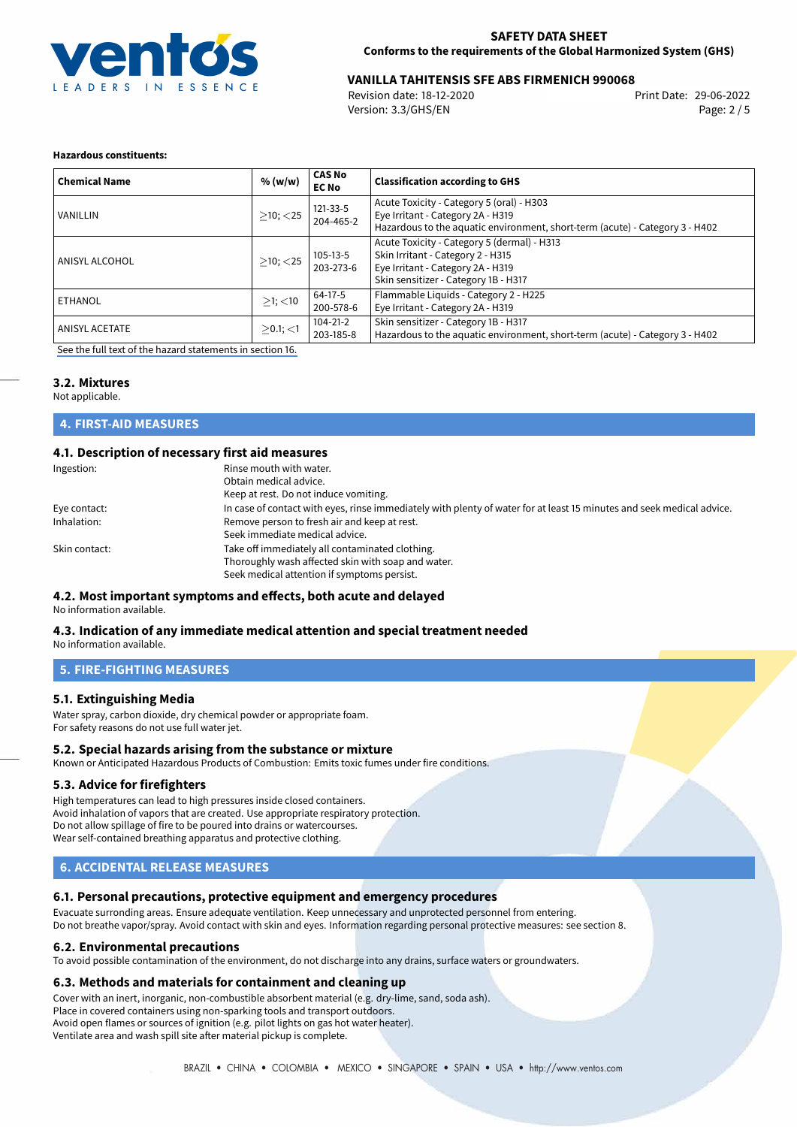

## 29-06-2022 **VANILLA TAHITENSIS SFE ABS FIRMENICH 990068**

Revision date: 18-12-2020 Version: 3.3/GHS/EN Page: 2 / 5

## **Hazardous constituents:**

| <b>Chemical Name</b>  | % (w/w)        | <b>CAS No</b><br><b>EC No</b> | <b>Classification according to GHS</b>                                                                                                                         |
|-----------------------|----------------|-------------------------------|----------------------------------------------------------------------------------------------------------------------------------------------------------------|
| VANILLIN              | $>10$ ; $<$ 25 | 121-33-5<br>204-465-2         | Acute Toxicity - Category 5 (oral) - H303<br>Eye Irritant - Category 2A - H319<br>Hazardous to the aquatic environment, short-term (acute) - Category 3 - H402 |
| ANISYL ALCOHOL        | $>10$ ; $<$ 25 | 105-13-5<br>203-273-6         | Acute Toxicity - Category 5 (dermal) - H313<br>Skin Irritant - Category 2 - H315<br>Eye Irritant - Category 2A - H319<br>Skin sensitizer - Category 1B - H317  |
| <b>ETHANOL</b>        | $>1$ ; $<$ 10  | 64-17-5<br>200-578-6          | Flammable Liquids - Category 2 - H225<br>Eye Irritant - Category 2A - H319                                                                                     |
| <b>ANISYL ACETATE</b> | $>0.1$ ; <1    | $104 - 21 - 2$<br>203-185-8   | Skin sensitizer - Category 1B - H317<br>Hazardous to the aquatic environment, short-term (acute) - Category 3 - H402                                           |

[See the full text of the hazard statements in section 16.](#page-4-0)

## **3.2. Mixtures**

Not applicable.

## **4. FIRST-AID MEASURES**

## **4.1. Description of necessary first aid measures**

| Ingestion:    | Rinse mouth with water.<br>Obtain medical advice.<br>Keep at rest. Do not induce vomiting.                                                           |
|---------------|------------------------------------------------------------------------------------------------------------------------------------------------------|
| Eye contact:  | In case of contact with eyes, rinse immediately with plenty of water for at least 15 minutes and seek medical advice.                                |
| Inhalation:   | Remove person to fresh air and keep at rest.<br>Seek immediate medical advice.                                                                       |
| Skin contact: | Take off immediately all contaminated clothing.<br>Thoroughly wash affected skin with soap and water.<br>Seek medical attention if symptoms persist. |

## **4.2. Most important symptoms and effects, both acute and delayed**

No information available.

## **4.3. Indication of any immediate medical attention and special treatment needed**

No information available.

## **5. FIRE-FIGHTING MEASURES**

## **5.1. Extinguishing Media**

Water spray, carbon dioxide, dry chemical powder or appropriate foam. For safety reasons do not use full water jet.

## **5.2. Special hazards arising from the substance or mixture**

Known or Anticipated Hazardous Products of Combustion: Emits toxic fumes under fire conditions.

## **5.3. Advice for firefighters**

High temperatures can lead to high pressures inside closed containers. Avoid inhalation of vapors that are created. Use appropriate respiratory protection. Do not allow spillage of fire to be poured into drains or watercourses. Wear self-contained breathing apparatus and protective clothing.

## **6. ACCIDENTAL RELEASE MEASURES**

## **6.1. Personal precautions, protective equipment and emergency procedures**

Evacuate surronding areas. Ensure adequate ventilation. Keep unnecessary and unprotected personnel from entering. Do not breathe vapor/spray. Avoid contact with skin and eyes. Information regarding personal protective measures: see section 8.

### **6.2. Environmental precautions**

To avoid possible contamination of the environment, do not discharge into any drains, surface waters or groundwaters.

### **6.3. Methods and materials for containment and cleaning up**

Cover with an inert, inorganic, non-combustible absorbent material (e.g. dry-lime, sand, soda ash).

Place in covered containers using non-sparking tools and transport outdoors. Avoid open flames or sources of ignition (e.g. pilot lights on gas hot water heater).

Ventilate area and wash spill site after material pickup is complete.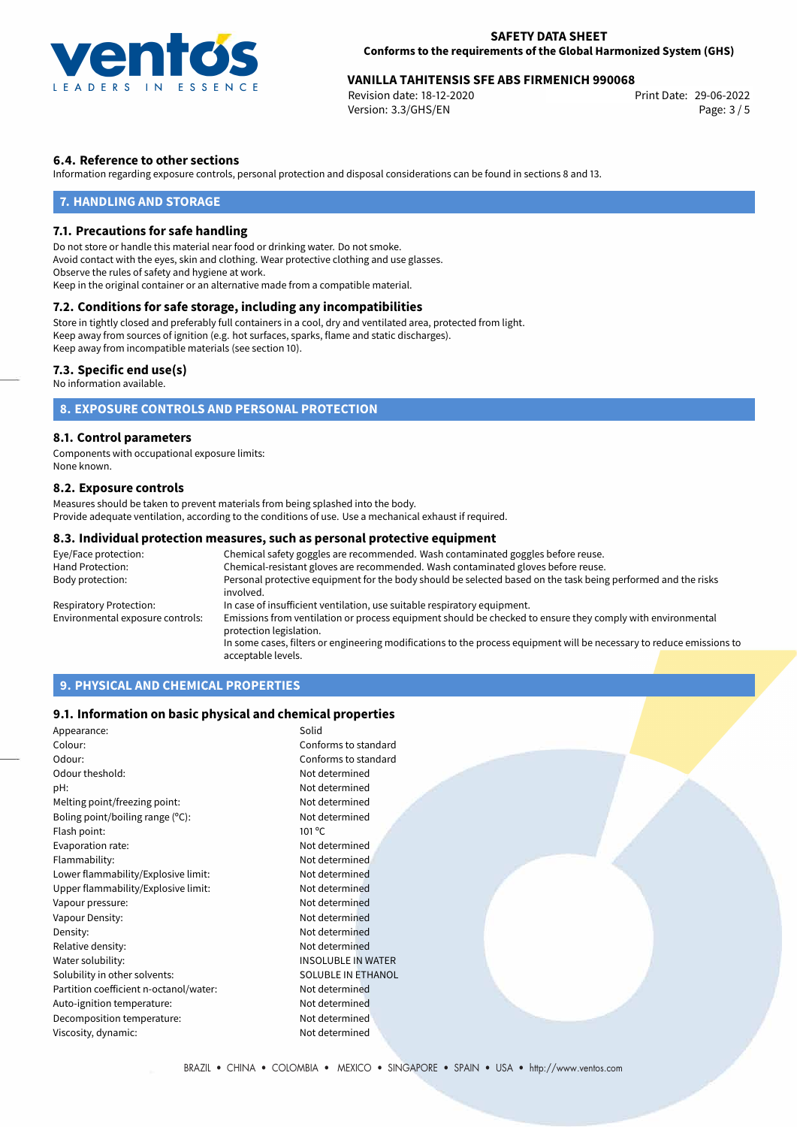

## 29-06-2022 **VANILLA TAHITENSIS SFE ABS FIRMENICH 990068**

Revision date: 18-12-2020 Version: 3.3/GHS/EN Page: 3 / 5

## **6.4. Reference to other sections**

Information regarding exposure controls, personal protection and disposal considerations can be found in sections 8 and 13.

## **7. HANDLING AND STORAGE**

### **7.1. Precautions for safe handling**

Do not store or handle this material near food or drinking water. Do not smoke. Avoid contact with the eyes, skin and clothing. Wear protective clothing and use glasses. Observe the rules of safety and hygiene at work. Keep in the original container or an alternative made from a compatible material.

## **7.2. Conditions for safe storage, including any incompatibilities**

Store in tightly closed and preferably full containers in a cool, dry and ventilated area, protected from light. Keep away from sources of ignition (e.g. hot surfaces, sparks, flame and static discharges). Keep away from incompatible materials (see section 10).

### **7.3. Specific end use(s)**

No information available.

## **8. EXPOSURE CONTROLS AND PERSONAL PROTECTION**

### **8.1. Control parameters**

Components with occupational exposure limits: None known.

## **8.2. Exposure controls**

Measures should be taken to prevent materials from being splashed into the body. Provide adequate ventilation, according to the conditions of use. Use a mechanical exhaust if required.

## **8.3. Individual protection measures, such as personal protective equipment**

| Eye/Face protection:             | Chemical safety goggles are recommended. Wash contaminated goggles before reuse.                                                      |  |  |  |
|----------------------------------|---------------------------------------------------------------------------------------------------------------------------------------|--|--|--|
| Hand Protection:                 | Chemical-resistant gloves are recommended. Wash contaminated gloves before reuse.                                                     |  |  |  |
| Body protection:                 | Personal protective equipment for the body should be selected based on the task being performed and the risks<br>involved.            |  |  |  |
| Respiratory Protection:          | In case of insufficient ventilation, use suitable respiratory equipment.                                                              |  |  |  |
| Environmental exposure controls: | Emissions from ventilation or process equipment should be checked to ensure they comply with environmental<br>protection legislation. |  |  |  |
|                                  | In some cases, filters or engineering modifications to the process equipment will be necessary to reduce emissions to                 |  |  |  |
|                                  | acceptable levels.                                                                                                                    |  |  |  |

## **9. PHYSICAL AND CHEMICAL PROPERTIES**

## **9.1. Information on basic physical and chemical properties**

| Appearance:                                | Solid                     |  |
|--------------------------------------------|---------------------------|--|
| Colour:                                    | Conforms to standard      |  |
| Odour:                                     | Conforms to standard      |  |
| Odour theshold:                            | Not determined            |  |
| pH:                                        | Not determined            |  |
| Melting point/freezing point:              | Not determined            |  |
| Boling point/boiling range $(^{\circ}C)$ : | Not determined            |  |
| Flash point:                               | $101^{\circ}$ C           |  |
| Evaporation rate:                          | Not determined            |  |
| Flammability:                              | Not determined            |  |
| Lower flammability/Explosive limit:        | Not determined            |  |
| Upper flammability/Explosive limit:        | Not determined            |  |
| Vapour pressure:                           | Not determined            |  |
| Vapour Density:                            | Not determined            |  |
| Density:                                   | Not determined            |  |
| Relative density:                          | Not determined            |  |
| Water solubility:                          | <b>INSOLUBLE IN WATER</b> |  |
| Solubility in other solvents:              | SOLUBLE IN ETHANOL        |  |
| Partition coefficient n-octanol/water:     | Not determined            |  |
| Auto-ignition temperature:                 | Not determined            |  |
| Decomposition temperature:                 | Not determined            |  |
| Viscosity, dynamic:                        | Not determined            |  |
|                                            |                           |  |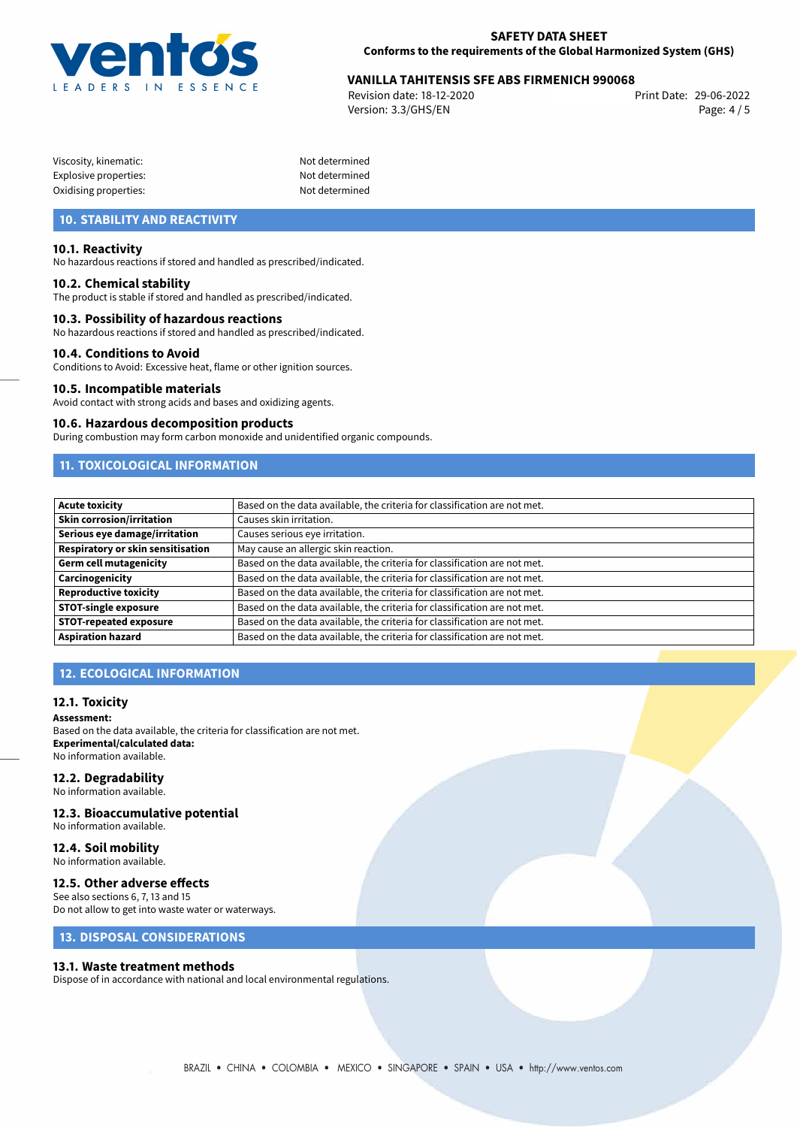

# 29-06-2022 **VANILLA TAHITENSIS SFE ABS FIRMENICH 990068**

Revision date: 18-12-2020 Version: 3.3/GHS/EN Page: 4 / 5

Not determined Not determined Not determined

| Viscosity, kinematic: |  |
|-----------------------|--|
| Explosive properties: |  |
| Oxidising properties: |  |

## **10. STABILITY AND REACTIVITY**

## **10.1. Reactivity**

No hazardous reactions if stored and handled as prescribed/indicated.

### **10.2. Chemical stability**

The product is stable if stored and handled as prescribed/indicated.

## **10.3. Possibility of hazardous reactions**

No hazardous reactions if stored and handled as prescribed/indicated.

### **10.4. Conditions to Avoid**

Conditions to Avoid: Excessive heat, flame or other ignition sources.

### **10.5. Incompatible materials**

Avoid contact with strong acids and bases and oxidizing agents.

#### **10.6. Hazardous decomposition products**

During combustion may form carbon monoxide and unidentified organic compounds.

## **11. TOXICOLOGICAL INFORMATION**

| <b>Acute toxicity</b>             | Based on the data available, the criteria for classification are not met. |
|-----------------------------------|---------------------------------------------------------------------------|
| <b>Skin corrosion/irritation</b>  | Causes skin irritation.                                                   |
| Serious eye damage/irritation     | Causes serious eye irritation.                                            |
| Respiratory or skin sensitisation | May cause an allergic skin reaction.                                      |
| Germ cell mutagenicity            | Based on the data available, the criteria for classification are not met. |
| <b>Carcinogenicity</b>            | Based on the data available, the criteria for classification are not met. |
| Reproductive toxicity             | Based on the data available, the criteria for classification are not met. |
| <b>STOT-single exposure</b>       | Based on the data available, the criteria for classification are not met. |
| <b>STOT-repeated exposure</b>     | Based on the data available, the criteria for classification are not met. |
| Aspiration hazard                 | Based on the data available, the criteria for classification are not met. |

## **12. ECOLOGICAL INFORMATION**

### **12.1. Toxicity**

**Assessment:** Based on the data available, the criteria for classification are not met.

**Experimental/calculated data:** No information available.

## **12.2. Degradability**

No information available.

## **12.3. Bioaccumulative potential**

No information available.

#### **12.4. Soil mobility** No information available.

## **12.5. Other adverse effects**

See also sections 6, 7, 13 and 15 Do not allow to get into waste water or waterways.

## **13. DISPOSAL CONSIDERATIONS**

### **13.1. Waste treatment methods**

Dispose of in accordance with national and local environmental regulations.